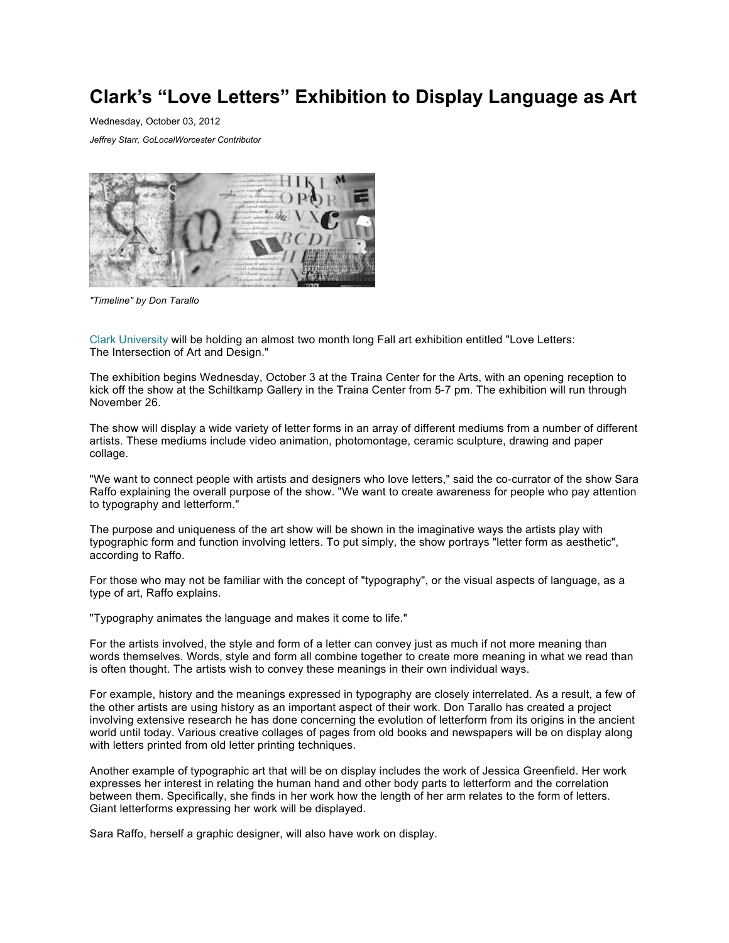## **Clark's "Love Letters" Exhibition to Display Language as Art**

Wednesday, October 03, 2012

*Jeffrey Starr, GoLocalWorcester Contributor*



*"Timeline" by Don Tarallo*

[Clark University](http://clarku.edu/) will be holding an almost two month long Fall art exhibition entitled "Love Letters: The Intersection of Art and Design."

The exhibition begins Wednesday, October 3 at the Traina Center for the Arts, with an opening reception to kick off the show at the Schiltkamp Gallery in the Traina Center from 5-7 pm. The exhibition will run through November 26.

The show will display a wide variety of letter forms in an array of different mediums from a number of different artists. These mediums include video animation, photomontage, ceramic sculpture, drawing and paper collage.

"We want to connect people with artists and designers who love letters," said the co-currator of the show Sara Raffo explaining the overall purpose of the show. "We want to create awareness for people who pay attention to typography and letterform."

The purpose and uniqueness of the art show will be shown in the imaginative ways the artists play with typographic form and function involving letters. To put simply, the show portrays "letter form as aesthetic", according to Raffo.

For those who may not be familiar with the concept of "typography", or the visual aspects of language, as a type of art, Raffo explains.

"Typography animates the language and makes it come to life."

For the artists involved, the style and form of a letter can convey just as much if not more meaning than words themselves. Words, style and form all combine together to create more meaning in what we read than is often thought. The artists wish to convey these meanings in their own individual ways.

For example, history and the meanings expressed in typography are closely interrelated. As a result, a few of the other artists are using history as an important aspect of their work. Don Tarallo has created a project involving extensive research he has done concerning the evolution of letterform from its origins in the ancient world until today. Various creative collages of pages from old books and newspapers will be on display along with letters printed from old letter printing techniques.

Another example of typographic art that will be on display includes the work of Jessica Greenfield. Her work expresses her interest in relating the human hand and other body parts to letterform and the correlation between them. Specifically, she finds in her work how the length of her arm relates to the form of letters. Giant letterforms expressing her work will be displayed.

Sara Raffo, herself a graphic designer, will also have work on display.